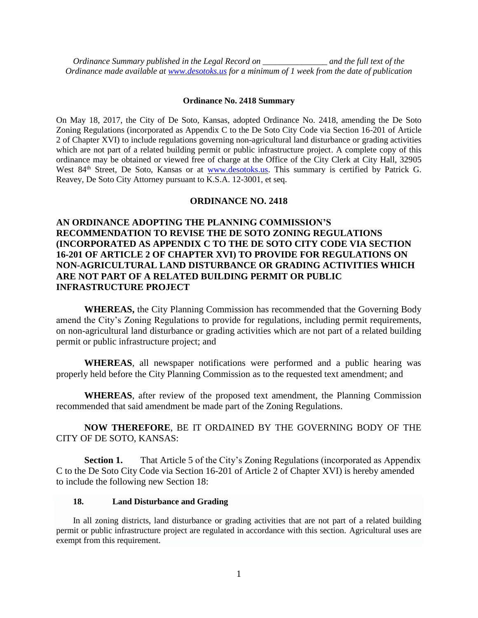*Ordinance Summary published in the Legal Record on \_\_\_\_\_\_\_\_\_\_\_\_\_\_\_ and the full text of the Ordinance made available at [www.desotoks.us](http://www.desotoks.us/) for a minimum of 1 week from the date of publication*

#### **Ordinance No. 2418 Summary**

On May 18, 2017, the City of De Soto, Kansas, adopted Ordinance No. 2418, amending the De Soto Zoning Regulations (incorporated as Appendix C to the De Soto City Code via Section 16-201 of Article 2 of Chapter XVI) to include regulations governing non-agricultural land disturbance or grading activities which are not part of a related building permit or public infrastructure project. A complete copy of this ordinance may be obtained or viewed free of charge at the Office of the City Clerk at City Hall, 32905 West 84<sup>th</sup> Street, De Soto, Kansas or at **www.desotoks.us**. This summary is certified by Patrick G. Reavey, De Soto City Attorney pursuant to K.S.A. 12-3001, et seq.

### **ORDINANCE NO. 2418**

# **AN ORDINANCE ADOPTING THE PLANNING COMMISSION'S RECOMMENDATION TO REVISE THE DE SOTO ZONING REGULATIONS (INCORPORATED AS APPENDIX C TO THE DE SOTO CITY CODE VIA SECTION 16-201 OF ARTICLE 2 OF CHAPTER XVI) TO PROVIDE FOR REGULATIONS ON NON-AGRICULTURAL LAND DISTURBANCE OR GRADING ACTIVITIES WHICH ARE NOT PART OF A RELATED BUILDING PERMIT OR PUBLIC INFRASTRUCTURE PROJECT**

**WHEREAS,** the City Planning Commission has recommended that the Governing Body amend the City's Zoning Regulations to provide for regulations, including permit requirements, on non-agricultural land disturbance or grading activities which are not part of a related building permit or public infrastructure project; and

**WHEREAS**, all newspaper notifications were performed and a public hearing was properly held before the City Planning Commission as to the requested text amendment; and

**WHEREAS**, after review of the proposed text amendment, the Planning Commission recommended that said amendment be made part of the Zoning Regulations.

**NOW THEREFORE**, BE IT ORDAINED BY THE GOVERNING BODY OF THE CITY OF DE SOTO, KANSAS:

**Section 1.** That Article 5 of the City's Zoning Regulations (incorporated as Appendix C to the De Soto City Code via Section 16-201 of Article 2 of Chapter XVI) is hereby amended to include the following new Section 18:

## **18. Land Disturbance and Grading**

In all zoning districts, land disturbance or grading activities that are not part of a related building permit or public infrastructure project are regulated in accordance with this section. Agricultural uses are exempt from this requirement.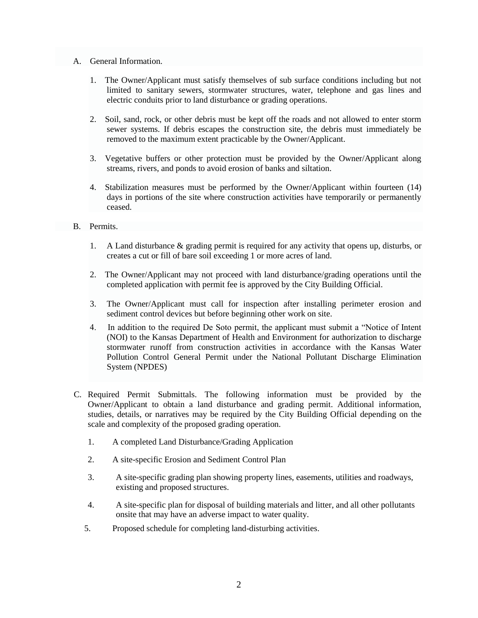- A. General Information.
	- 1. The Owner/Applicant must satisfy themselves of sub surface conditions including but not limited to sanitary sewers, stormwater structures, water, telephone and gas lines and electric conduits prior to land disturbance or grading operations.
	- 2. Soil, sand, rock, or other debris must be kept off the roads and not allowed to enter storm sewer systems. If debris escapes the construction site, the debris must immediately be removed to the maximum extent practicable by the Owner/Applicant.
	- 3. Vegetative buffers or other protection must be provided by the Owner/Applicant along streams, rivers, and ponds to avoid erosion of banks and siltation.
	- 4. Stabilization measures must be performed by the Owner/Applicant within fourteen (14) days in portions of the site where construction activities have temporarily or permanently ceased.

### B. Permits.

- 1. A Land disturbance & grading permit is required for any activity that opens up, disturbs, or creates a cut or fill of bare soil exceeding 1 or more acres of land.
- 2. The Owner/Applicant may not proceed with land disturbance/grading operations until the completed application with permit fee is approved by the City Building Official.
- 3. The Owner/Applicant must call for inspection after installing perimeter erosion and sediment control devices but before beginning other work on site.
- 4. In addition to the required De Soto permit, the applicant must submit a "Notice of Intent (NOI) to the Kansas Department of Health and Environment for authorization to discharge stormwater runoff from construction activities in accordance with the Kansas Water Pollution Control General Permit under the National Pollutant Discharge Elimination System (NPDES)
- C. Required Permit Submittals. The following information must be provided by the Owner/Applicant to obtain a land disturbance and grading permit. Additional information, studies, details, or narratives may be required by the City Building Official depending on the scale and complexity of the proposed grading operation.
	- 1. A completed Land Disturbance/Grading Application
	- 2. A site-specific Erosion and Sediment Control Plan
	- 3. A site-specific grading plan showing property lines, easements, utilities and roadways, existing and proposed structures.
	- 4. A site-specific plan for disposal of building materials and litter, and all other pollutants onsite that may have an adverse impact to water quality.
	- 5. Proposed schedule for completing land-disturbing activities.